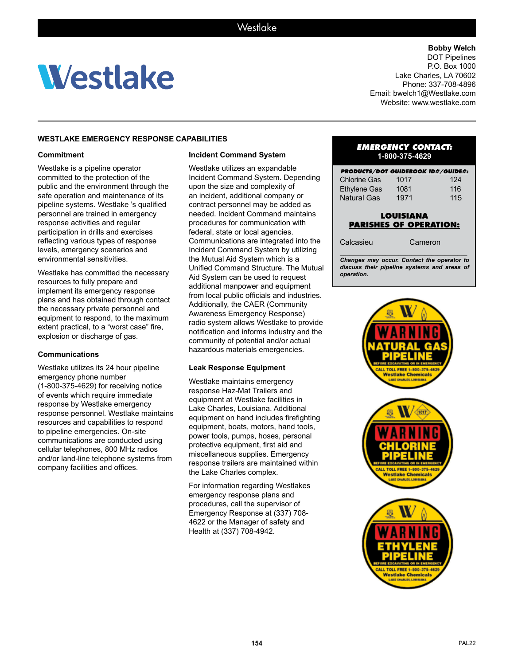# **Westlake**

**Bobby Welch** DOT Pipelines P.O. Box 1000 Lake Charles, LA 70602 Phone: 337-708-4896 Email: bwelch1@Westlake.com

Website: www.westlake.com

# **WESTLAKE EMERGENCY RESPONSE CAPABILITIES**

### **Commitment**

Westlake is a pipeline operator committed to the protection of the public and the environment through the safe operation and maintenance of its pipeline systems. Westlake 's qualified personnel are trained in emergency response activities and regular participation in drills and exercises reflecting various types of response levels, emergency scenarios and environmental sensitivities.

Westlake has committed the necessary resources to fully prepare and implement its emergency response plans and has obtained through contact the necessary private personnel and equipment to respond, to the maximum extent practical, to a "worst case" fire, explosion or discharge of gas.

#### **Communications**

Westlake utilizes its 24 hour pipeline emergency phone number (1-800-375-4629) for receiving notice of events which require immediate response by Westlake emergency response personnel. Westlake maintains resources and capabilities to respond to pipeline emergencies. On-site communications are conducted using cellular telephones, 800 MHz radios and/or land-line telephone systems from company facilities and offices.

## **Incident Command System**

Westlake utilizes an expandable Incident Command System. Depending upon the size and complexity of an incident, additional company or contract personnel may be added as needed. Incident Command maintains procedures for communication with federal, state or local agencies. Communications are integrated into the Incident Command System by utilizing the Mutual Aid System which is a Unified Command Structure. The Mutual Aid System can be used to request additional manpower and equipment from local public officials and industries. Additionally, the CAER (Community Awareness Emergency Response) radio system allows Westlake to provide notification and informs industry and the community of potential and/or actual hazardous materials emergencies.

#### **Leak Response Equipment**

Westlake maintains emergency response Haz-Mat Trailers and equipment at Westlake facilities in Lake Charles, Louisiana. Additional equipment on hand includes firefighting equipment, boats, motors, hand tools, power tools, pumps, hoses, personal protective equipment, first aid and miscellaneous supplies. Emergency response trailers are maintained within the Lake Charles complex.

For information regarding Westlakes emergency response plans and procedures, call the supervisor of Emergency Response at (337) 708- 4622 or the Manager of safety and Health at (337) 708-4942.

#### *EMERGENCY CONTACT:* **1-800-375-4629**

| <b>PRODUCTS/DOT GUIDEBOOK ID#/GUIDE#:</b> |      |     |
|-------------------------------------------|------|-----|
| <b>Chlorine Gas</b>                       | 1017 | 124 |
| <b>Ethylene Gas</b>                       | 1081 | 116 |
| <b>Natural Gas</b>                        | 1971 | 115 |

# **LOUISIANA PARISHES OF OPERATION:**

Calcasieu Cameron

*\_\_\_\_\_\_\_\_\_\_\_\_\_\_\_\_\_\_\_\_\_\_\_\_\_\_\_\_\_\_\_\_\_\_\_\_\_\_\_ Changes may occur. Contact the operator to discuss their pipeline systems and areas of operation.*